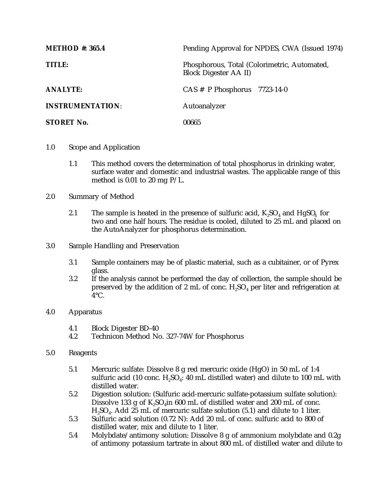| <b>METHOD #: 365.4</b>  | Pending Approval for NPDES, CWA (Issued 1974)                                |
|-------------------------|------------------------------------------------------------------------------|
| TITLE:                  | Phosphorous, Total (Colorimetric, Automated,<br><b>Block Digester AA II)</b> |
| <b>ANALYTE:</b>         | $CAS \# P Phosphorus$ 7723-14-0                                              |
| <b>INSTRUMENTATION:</b> | Autoanalyzer                                                                 |
| <b>STORET No.</b>       | 00665                                                                        |

- 1.0 Scope and Application
	- 1.1 This method covers the determination of total phosphorus in drinking water, surface water and domestic and industrial wastes. The applicable range of this method is 0.01 to 20 mg P/L.
- 2.0 Summary of Method
	- 2.1 The sample is heated in the presence of sulfuric acid,  $K_2SO_4$  and  $HgSO_4$  for two and one half hours. The residue is cooled, diluted to 25 mL and placed on the AutoAnalyzer for phosphorus determination.
- 3.0 Sample Handling and Preservation
	- 3.1 Sample containers may be of plastic material, such as a cubitainer, or of Pyrex glass.
	- 3.2 If the analysis cannot be performed the day of collection, the sample should be preserved by the addition of 2 mL of conc.  $H_2SO_4$  per liter and refrigeration at  $4^{\circ}$ C.
- 4.0 Apparatus
	- 4.1 Block Digester BD-40
	- 4.2 Technicon Method No. 327-74W for Phosphorus
- 5.0 Reagents
	- 5.1 Mercuric sulfate: Dissolve 8 g red mercuric oxide (HgO) in 50 mL of 1:4 sulfuric acid (10 conc.  $H_2SO_4$ : 40 mL distilled water) and dilute to 100 mL with distilled water.
	- 5.2 Digestion solution: (Sulfuric acid-mercuric sulfate-potassium sulfate solution): Dissolve 133 g of  $K_2SO_4$ in 600 mL of distilled water and 200 mL of conc.  $H<sub>9</sub>SO<sub>4</sub>$ . Add 25 mL of mercuric sulfate solution (5.1) and dilute to 1 liter.
	- 5.3 Sulfuric acid solution (0.72 N): Add 20 mL of conc. sulfuric acid to 800 of distilled water, mix and dilute to 1 liter.
	- 5.4 Molybdate/antimony solution: Dissolve 8 g of ammonium molybdate and 0.2g of antimony potassium tartrate in about 800 mL of distilled water and dilute to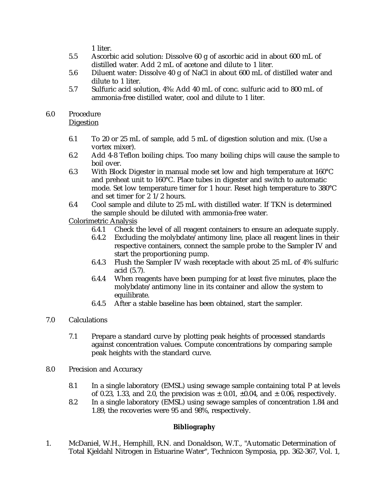1 liter.

- 5.5 Ascorbic acid solution: Dissolve 60 g of ascorbic acid in about 600 mL of distilled water. Add 2 mL of acetone and dilute to 1 liter.
- 5.6 Diluent water: Dissolve 40 g of NaCl in about 600 mL of distilled water and dilute to 1 liter.
- 5.7 Sulfuric acid solution, 4%: Add 40 mL of conc. sulfuric acid to 800 mL of ammonia-free distilled water, cool and dilute to 1 liter.

## 6.0 Procedure

**Digestion** 

- 6.1 To 20 or 25 mL of sample, add 5 mL of digestion solution and mix. (Use a vortex mixer).
- 6.2 Add 4-8 Teflon boiling chips. Too many boiling chips will cause the sample to boil over.
- 6.3 With Block Digester in manual mode set low and high temperature at 160°C and preheat unit to 160°C. Place tubes in digester and switch to automatic mode. Set low temperature timer for 1 hour. Reset high temperature to 380°C and set timer for 2 1/2 hours.
- 6.4 Cool sample and dilute to 25 mL with distilled water. If TKN is determined the sample should be diluted with ammonia-free water.

## Colorimetric Analysis

- 6.4.1 Check the level of all reagent containers to ensure an adequate supply.
- 6.4.2 Excluding the molybdate/antimony line, place all reagent lines in their respective containers, connect the sample probe to the Sampler IV and start the proportioning pump.
- 6.4.3 Flush the Sampler IV wash receptacle with about 25 mL of 4% sulfuric acid (5.7).
- 6.4.4 When reagents have been pumping for at least five minutes, place the molybdate/antimony line in its container and allow the system to equilibrate.
- 6.4.5 After a stable baseline has been obtained, start the sampler.
- 7.0 Calculations
	- 7.1 Prepare a standard curve by plotting peak heights of processed standards against concentration values. Compute concentrations by comparing sample peak heights with the standard curve.
- 8.0 Precision and Accuracy
	- 8.1 In a single laboratory (EMSL) using sewage sample containing total P at levels of 0.23, 1.33, and 2.0, the precision was  $\pm$  0.01,  $\pm$ 0.04, and  $\pm$  0.06, respectively.
	- 8.2 In a single laboratory (EMSL) using sewage samples of concentration 1.84 and 1.89, the recoveries were 95 and 98%, respectively.

## **Bibliography**

1. McDaniel, W.H., Hemphill, R.N. and Donaldson, W.T., "Automatic Determination of Total Kjeldahl Nitrogen in Estuarine Water", Technicon Symposia, pp. 362-367, Vol. 1,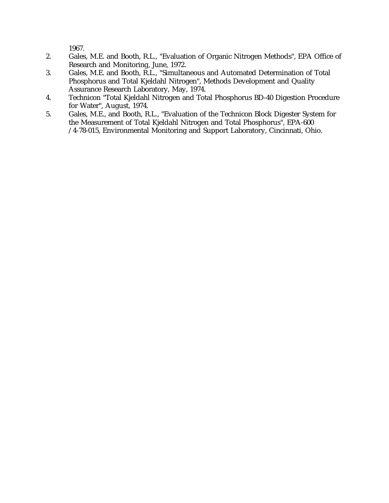1967.

- 2. Gales, M.E. and Booth, R.L., "Evaluation of Organic Nitrogen Methods", EPA Office of Research and Monitoring, June, 1972.
- 3. Gales, M.E. and Booth, R.L., "Simultaneous and Automated Determination of Total Phosphorus and Total Kjeldahl Nitrogen", Methods Development and Quality Assurance Research Laboratory, May, 1974.
- 4. Technicon "Total Kjeldahl Nitrogen and Total Phosphorus BD-40 Digestion Procedure for Water", August, 1974.
- 5. Gales, M.E., and Booth, R.L., "Evaluation of the Technicon Block Digester System for the Measurement of Total Kjeldahl Nitrogen and Total Phosphorus", EPA-600 /4-78-015, Environmental Monitoring and Support Laboratory, Cincinnati, Ohio.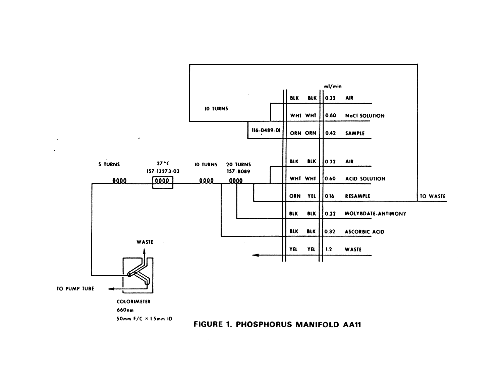